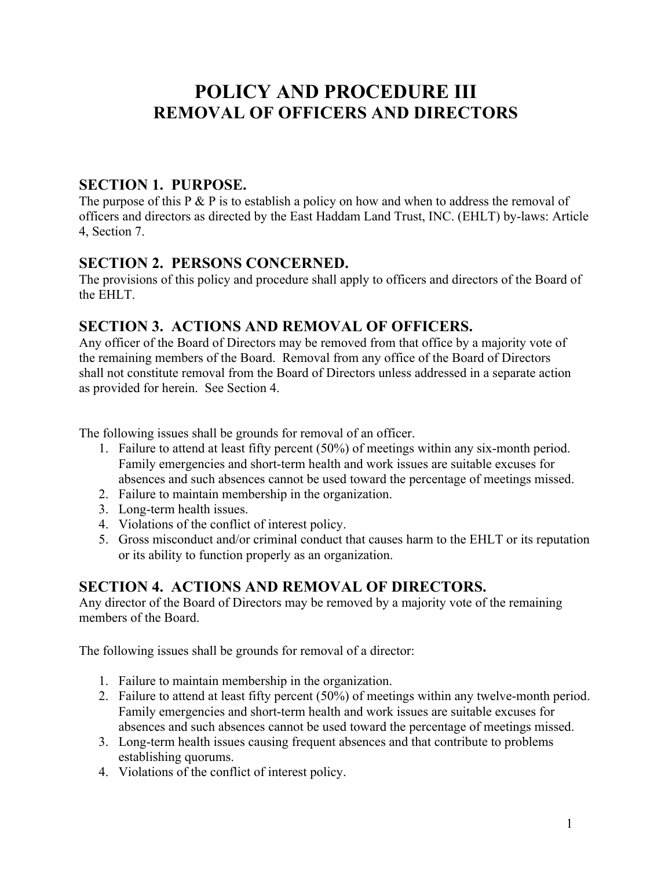# **POLICY AND PROCEDURE III REMOVAL OF OFFICERS AND DIRECTORS**

#### **SECTION 1. PURPOSE.**

The purpose of this P  $&$  P is to establish a policy on how and when to address the removal of officers and directors as directed by the East Haddam Land Trust, INC. (EHLT) by-laws: Article 4, Section 7.

#### **SECTION 2. PERSONS CONCERNED.**

The provisions of this policy and procedure shall apply to officers and directors of the Board of the EHLT.

## **SECTION 3. ACTIONS AND REMOVAL OF OFFICERS.**

Any officer of the Board of Directors may be removed from that office by a majority vote of the remaining members of the Board. Removal from any office of the Board of Directors shall not constitute removal from the Board of Directors unless addressed in a separate action as provided for herein. See Section 4.

The following issues shall be grounds for removal of an officer.

- 1. Failure to attend at least fifty percent (50%) of meetings within any six-month period. Family emergencies and short-term health and work issues are suitable excuses for absences and such absences cannot be used toward the percentage of meetings missed.
- 2. Failure to maintain membership in the organization.
- 3. Long-term health issues.
- 4. Violations of the conflict of interest policy.
- 5. Gross misconduct and/or criminal conduct that causes harm to the EHLT or its reputation or its ability to function properly as an organization.

## **SECTION 4. ACTIONS AND REMOVAL OF DIRECTORS.**

Any director of the Board of Directors may be removed by a majority vote of the remaining members of the Board.

The following issues shall be grounds for removal of a director:

- 1. Failure to maintain membership in the organization.
- 2. Failure to attend at least fifty percent (50%) of meetings within any twelve-month period. Family emergencies and short-term health and work issues are suitable excuses for absences and such absences cannot be used toward the percentage of meetings missed.
- 3. Long-term health issues causing frequent absences and that contribute to problems establishing quorums.
- 4. Violations of the conflict of interest policy.